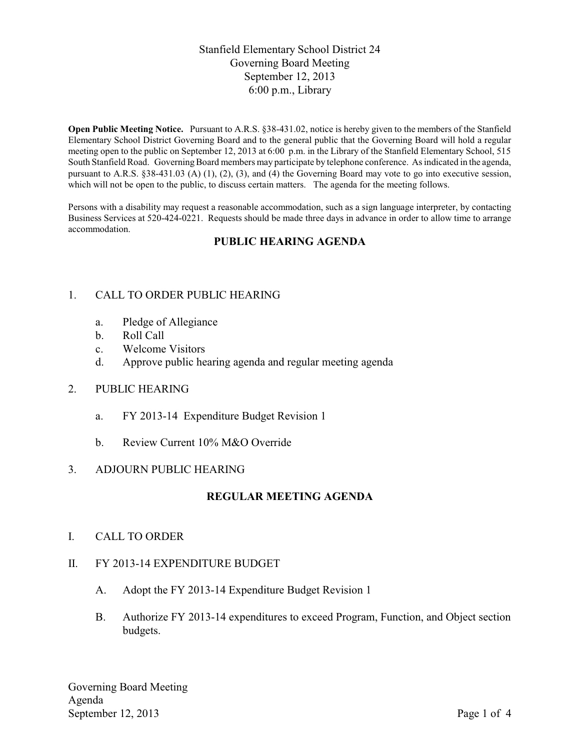# Stanfield Elementary School District 24 Governing Board Meeting September 12, 2013 6:00 p.m., Library

**Open Public Meeting Notice.** Pursuant to A.R.S. §38-431.02, notice is hereby given to the members of the Stanfield Elementary School District Governing Board and to the general public that the Governing Board will hold a regular meeting open to the public on September 12, 2013 at 6:00 p.m. in the Library of the Stanfield Elementary School, 515 South Stanfield Road. Governing Board members may participate by telephone conference. As indicated in the agenda, pursuant to A.R.S. §38-431.03 (A) (1), (2), (3), and (4) the Governing Board may vote to go into executive session, which will not be open to the public, to discuss certain matters. The agenda for the meeting follows.

Persons with a disability may request a reasonable accommodation, such as a sign language interpreter, by contacting Business Services at 520-424-0221. Requests should be made three days in advance in order to allow time to arrange accommodation.

# **PUBLIC HEARING AGENDA**

### 1. CALL TO ORDER PUBLIC HEARING

- a. Pledge of Allegiance
- b. Roll Call
- c. Welcome Visitors
- d. Approve public hearing agenda and regular meeting agenda

#### 2. PUBLIC HEARING

- a. FY 2013-14 Expenditure Budget Revision 1
- b. Review Current 10% M&O Override

### 3. ADJOURN PUBLIC HEARING

### **REGULAR MEETING AGENDA**

I. CALL TO ORDER

### II. FY 2013-14 EXPENDITURE BUDGET

- A. Adopt the FY 2013-14 Expenditure Budget Revision 1
- B. Authorize FY 2013-14 expenditures to exceed Program, Function, and Object section budgets.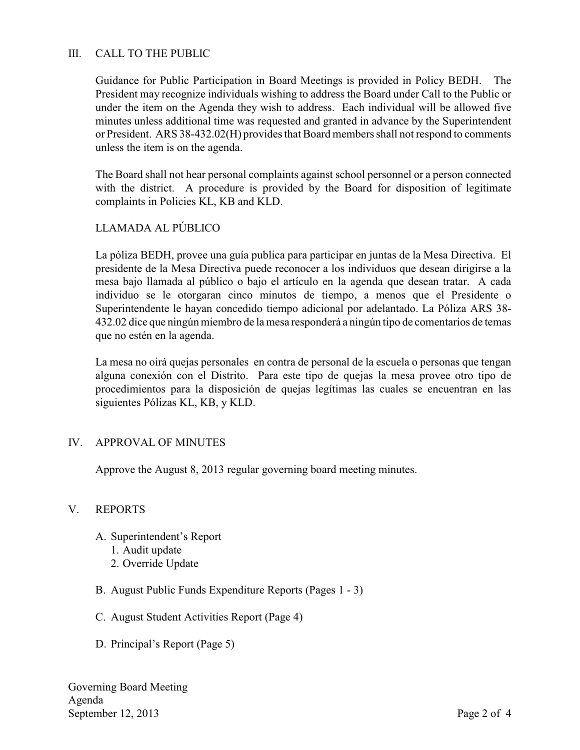## III. CALL TO THE PUBLIC

Guidance for Public Participation in Board Meetings is provided in Policy BEDH. The President may recognize individuals wishing to address the Board under Call to the Public or under the item on the Agenda they wish to address. Each individual will be allowed five minutes unless additional time was requested and granted in advance by the Superintendent or President. ARS 38-432.02(H) provides that Board members shall not respond to comments unless the item is on the agenda.

The Board shall not hear personal complaints against school personnel or a person connected with the district. A procedure is provided by the Board for disposition of legitimate complaints in Policies KL, KB and KLD.

### LLAMADA AL PÚBLICO

La póliza BEDH, provee una guía publica para participar en juntas de la Mesa Directiva. El presidente de la Mesa Directiva puede reconocer a los individuos que desean dirigirse a la mesa bajo llamada al público o bajo el artículo en la agenda que desean tratar. A cada individuo se le otorgaran cinco minutos de tiempo, a menos que el Presidente o Superintendente le hayan concedido tiempo adicional por adelantado. La Póliza ARS 38- 432.02 dice que ningún miembro de la mesa responderá a ningún tipo de comentarios de temas que no estén en la agenda.

La mesa no oirá quejas personales en contra de personal de la escuela o personas que tengan alguna conexión con el Distrito. Para este tipo de quejas la mesa provee otro tipo de procedimientos para la disposición de quejas legítimas las cuales se encuentran en las siguientes Pólizas KL, KB, y KLD.

### IV. APPROVAL OF MINUTES

Approve the August 8, 2013 regular governing board meeting minutes.

### V. REPORTS

- A. Superintendent's Report
	- 1. Audit update
	- 2. Override Update
- B. August Public Funds Expenditure Reports (Pages 1 3)
- C. August Student Activities Report (Page 4)
- D. Principal's Report (Page 5)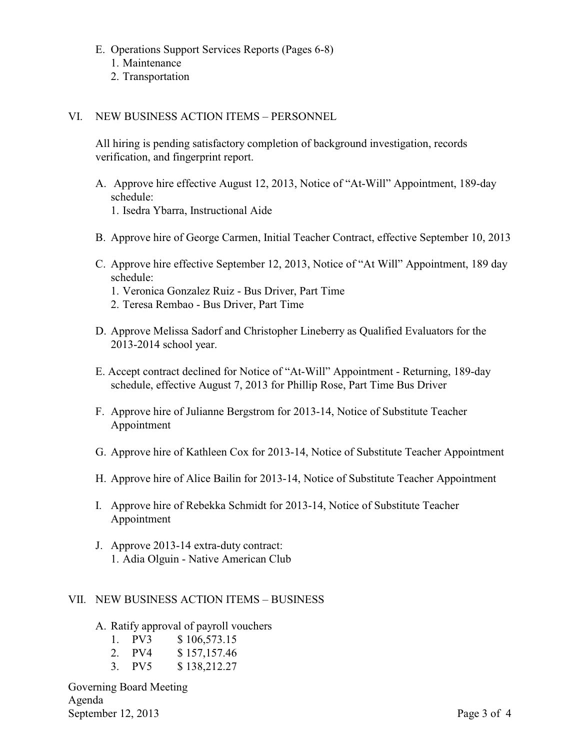- E. Operations Support Services Reports (Pages 6-8)
	- 1. Maintenance
	- 2. Transportation

#### VI. NEW BUSINESS ACTION ITEMS – PERSONNEL

All hiring is pending satisfactory completion of background investigation, records verification, and fingerprint report.

- A. Approve hire effective August 12, 2013, Notice of "At-Will" Appointment, 189-day schedule:
	- 1. Isedra Ybarra, Instructional Aide
- B. Approve hire of George Carmen, Initial Teacher Contract, effective September 10, 2013
- C. Approve hire effective September 12, 2013, Notice of "At Will" Appointment, 189 day schedule:
	- 1. Veronica Gonzalez Ruiz Bus Driver, Part Time
	- 2. Teresa Rembao Bus Driver, Part Time
- D. Approve Melissa Sadorf and Christopher Lineberry as Qualified Evaluators for the 2013-2014 school year.
- E. Accept contract declined for Notice of "At-Will" Appointment Returning, 189-day schedule, effective August 7, 2013 for Phillip Rose, Part Time Bus Driver
- F. Approve hire of Julianne Bergstrom for 2013-14, Notice of Substitute Teacher Appointment
- G. Approve hire of Kathleen Cox for 2013-14, Notice of Substitute Teacher Appointment
- H. Approve hire of Alice Bailin for 2013-14, Notice of Substitute Teacher Appointment
- I. Approve hire of Rebekka Schmidt for 2013-14, Notice of Substitute Teacher Appointment
- J. Approve 2013-14 extra-duty contract: 1. Adia Olguin - Native American Club

## VII. NEW BUSINESS ACTION ITEMS – BUSINESS

A. Ratify approval of payroll vouchers

| 1. PV3 | \$106,573.15 |
|--------|--------------|
| 2. PV4 | \$157,157.46 |
| 3. PV5 | \$138,212.27 |

Governing Board Meeting Agenda September 12, 2013 Page 3 of 4